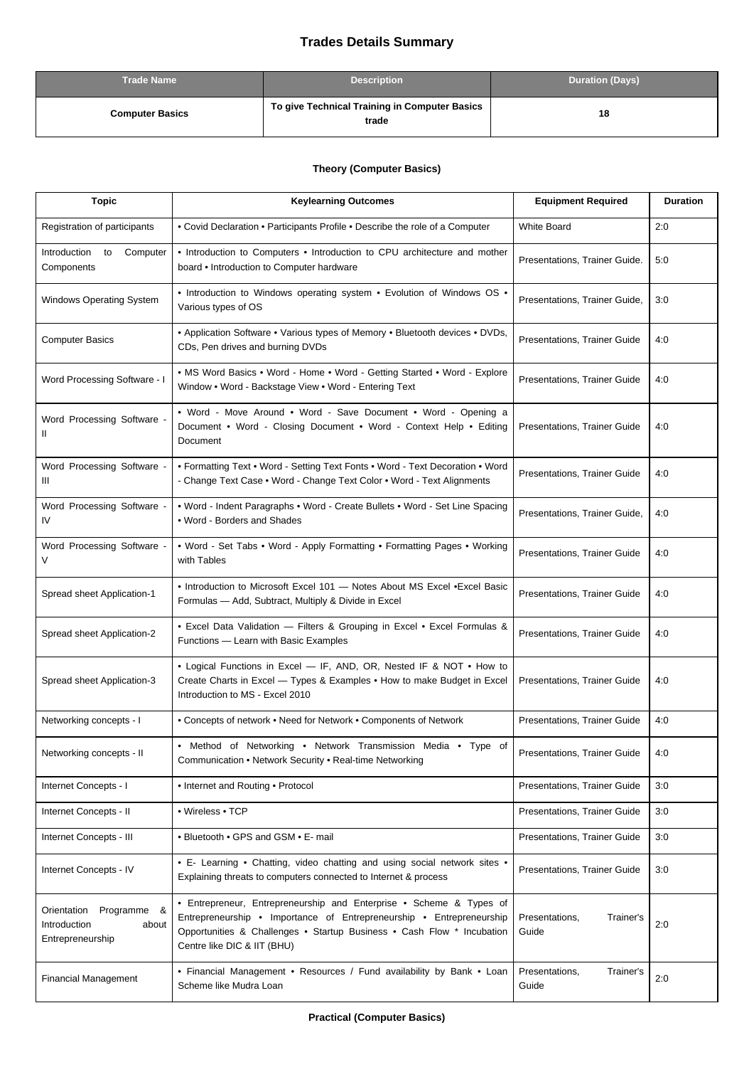## **Trades Details Summary**

| <b>Trade Name</b>      | <b>Description</b>                                     | <b>Duration (Days)</b> |
|------------------------|--------------------------------------------------------|------------------------|
| <b>Computer Basics</b> | To give Technical Training in Computer Basics<br>trade | 18                     |

## **Theory (Computer Basics)**

| <b>Topic</b>                                                            | <b>Keylearning Outcomes</b>                                                                                                                                                                                                                          | <b>Equipment Required</b>            | <b>Duration</b> |
|-------------------------------------------------------------------------|------------------------------------------------------------------------------------------------------------------------------------------------------------------------------------------------------------------------------------------------------|--------------------------------------|-----------------|
| Registration of participants                                            | • Covid Declaration • Participants Profile • Describe the role of a Computer                                                                                                                                                                         | <b>White Board</b>                   | 2:0             |
| Introduction<br>to<br>Computer<br>Components                            | • Introduction to Computers • Introduction to CPU architecture and mother<br>board . Introduction to Computer hardware                                                                                                                               | Presentations, Trainer Guide.        | 5:0             |
| Windows Operating System                                                | • Introduction to Windows operating system • Evolution of Windows OS •<br>Various types of OS                                                                                                                                                        | Presentations, Trainer Guide,        | 3:0             |
| <b>Computer Basics</b>                                                  | • Application Software • Various types of Memory • Bluetooth devices • DVDs,<br>CDs, Pen drives and burning DVDs                                                                                                                                     | Presentations, Trainer Guide         | 4:0             |
| Word Processing Software - I                                            | • MS Word Basics • Word - Home • Word - Getting Started • Word - Explore<br>Window . Word - Backstage View . Word - Entering Text                                                                                                                    | Presentations, Trainer Guide         | 4:0             |
| Word Processing Software -<br>Ш                                         | • Word - Move Around • Word - Save Document • Word - Opening a<br>Document • Word - Closing Document • Word - Context Help • Editing<br>Document                                                                                                     | Presentations, Trainer Guide         | 4:0             |
| Word Processing Software -<br>Ш                                         | • Formatting Text • Word - Setting Text Fonts • Word - Text Decoration • Word<br>- Change Text Case . Word - Change Text Color . Word - Text Alignments                                                                                              | Presentations, Trainer Guide         | 4:0             |
| Word Processing Software -<br>IV                                        | • Word - Indent Paragraphs • Word - Create Bullets • Word - Set Line Spacing<br>• Word - Borders and Shades                                                                                                                                          | Presentations, Trainer Guide,        | 4:0             |
| Word Processing Software -                                              | • Word - Set Tabs • Word - Apply Formatting • Formatting Pages • Working<br>with Tables                                                                                                                                                              | <b>Presentations, Trainer Guide</b>  | 4:0             |
| Spread sheet Application-1                                              | • Introduction to Microsoft Excel 101 - Notes About MS Excel • Excel Basic<br>Formulas - Add, Subtract, Multiply & Divide in Excel                                                                                                                   | Presentations, Trainer Guide         | 4:0             |
| Spread sheet Application-2                                              | • Excel Data Validation - Filters & Grouping in Excel • Excel Formulas &<br>Functions - Learn with Basic Examples                                                                                                                                    | Presentations, Trainer Guide         | 4:0             |
| Spread sheet Application-3                                              | • Logical Functions in Excel - IF, AND, OR, Nested IF & NOT • How to<br>Create Charts in Excel - Types & Examples . How to make Budget in Excel<br>Introduction to MS - Excel 2010                                                                   | Presentations, Trainer Guide         | 4:0             |
| Networking concepts - I                                                 | • Concepts of network • Need for Network • Components of Network                                                                                                                                                                                     | Presentations, Trainer Guide         | 4:0             |
| Networking concepts - II                                                | • Method of Networking • Network Transmission Media • Type of<br>Communication . Network Security . Real-time Networking                                                                                                                             | <b>Presentations, Trainer Guide</b>  | 4:0             |
| Internet Concepts - I                                                   | • Internet and Routing • Protocol                                                                                                                                                                                                                    | Presentations, Trainer Guide         | 3:0             |
| Internet Concepts - II                                                  | • Wireless • TCP                                                                                                                                                                                                                                     | <b>Presentations, Trainer Guide</b>  | 3:0             |
| Internet Concepts - III                                                 | • Bluetooth • GPS and GSM • E- mail                                                                                                                                                                                                                  | Presentations, Trainer Guide         | 3:0             |
| Internet Concepts - IV                                                  | • E- Learning • Chatting, video chatting and using social network sites •<br>Explaining threats to computers connected to Internet & process                                                                                                         | Presentations, Trainer Guide         | 3:0             |
| Orientation<br>Programme &<br>Introduction<br>about<br>Entrepreneurship | • Entrepreneur, Entrepreneurship and Enterprise • Scheme & Types of<br>Entrepreneurship • Importance of Entrepreneurship • Entrepreneurship<br>Opportunities & Challenges . Startup Business . Cash Flow * Incubation<br>Centre like DIC & IIT (BHU) | Presentations,<br>Trainer's<br>Guide | 2:0             |
| <b>Financial Management</b>                                             | • Financial Management • Resources / Fund availability by Bank • Loan<br>Scheme like Mudra Loan                                                                                                                                                      | Presentations,<br>Trainer's<br>Guide | 2:0             |